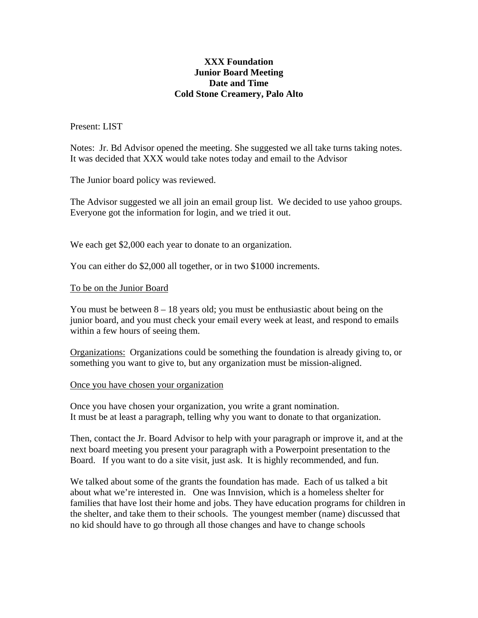## **XXX Foundation Junior Board Meeting Date and Time Cold Stone Creamery, Palo Alto**

Present: LIST

Notes: Jr. Bd Advisor opened the meeting. She suggested we all take turns taking notes. It was decided that XXX would take notes today and email to the Advisor

The Junior board policy was reviewed.

The Advisor suggested we all join an email group list. We decided to use yahoo groups. Everyone got the information for login, and we tried it out.

We each get \$2,000 each year to donate to an organization.

You can either do \$2,000 all together, or in two \$1000 increments.

## To be on the Junior Board

You must be between  $8 - 18$  years old; you must be enthusiastic about being on the junior board, and you must check your email every week at least, and respond to emails within a few hours of seeing them.

Organizations: Organizations could be something the foundation is already giving to, or something you want to give to, but any organization must be mission-aligned.

## Once you have chosen your organization

Once you have chosen your organization, you write a grant nomination. It must be at least a paragraph, telling why you want to donate to that organization.

Then, contact the Jr. Board Advisor to help with your paragraph or improve it, and at the next board meeting you present your paragraph with a Powerpoint presentation to the Board. If you want to do a site visit, just ask. It is highly recommended, and fun.

We talked about some of the grants the foundation has made. Each of us talked a bit about what we're interested in. One was Innvision, which is a homeless shelter for families that have lost their home and jobs. They have education programs for children in the shelter, and take them to their schools. The youngest member (name) discussed that no kid should have to go through all those changes and have to change schools